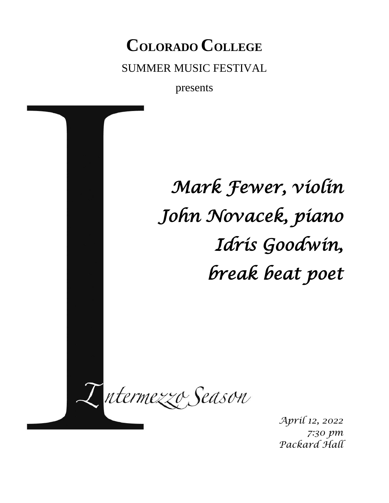## **COLORADO COLLEGE** SUMMER MUSIC FESTIVAL

presents



*7:30 pm Packard Hall*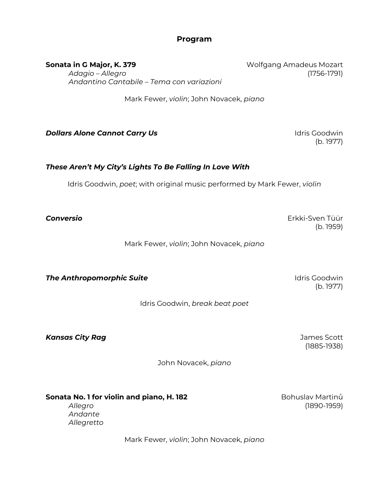## **Program**

**Sonata in G Major, K. 379** Molfgang Amadeus Mozart

*Adagio – Allegro* (1756-1791) *Andantino Cantabile – Tema con variazioni*

Mark Fewer, *violin*; John Novacek, *piano*

**Dollars Alone Cannot Carry Us and Cannot Carry Constant Canadian Canadian Idris Goodwin** 

(b. 1977)

## *These Aren't My City's Lights To Be Falling In Love With*

Idris Goodwin, *poet*; with original music performed by Mark Fewer, *violin*

(b. 1959)

Mark Fewer, *violin*; John Novacek, *piano*

**The Anthropomorphic Suite Internal Constanting Constanting Constanting Constanting Constanting Constanting Constanting Constanting Constanting Constanting Constanting Constanting Constanting Constanting Constanting Cons** 

(b. 1977)

Idris Goodwin, *break beat poet*

*Kansas City Rag* James Scott

(1885-1938)

John Novacek, *piano*

**Sonata No. 1 for violin and piano, H. 182** Bohuslav Martinů

*Andante Allegretto*

*Allegro* (1890-1959)

Mark Fewer, *violin*; John Novacek, *piano*

*Conversio* Erkki-Sven Tüür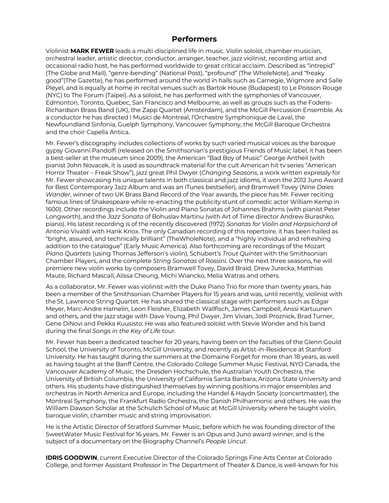## **Performers**

Violinist **MARK FEWER** leads a multi-disciplined life in music. Violin soloist, chamber musician, orchestral leader, artistic director, conductor, arranger, teacher, jazz violinist, recording artist and occasional radio host, he has performed worldwide to great critical acclaim. Described as "intrepid" (The Globe and Mail), "genre-bending" (National Post), "profound" (The WholeNote), and "freaky good"(The Gazette), he has performed around the world in halls such as Carnegie, Wigmore and Salle Pleyel, and is equally at home in recital venues such as Bartok House (Budapest) to Le Poisson Rouge (NYC) to The Forum (Taipei). As a soloist, he has performed with the symphonies of Vancouver, Edmonton, Toronto, Quebec, San Francisco and Melbourne, as well as groups such as the Fodens-Richardson Brass Band (UK), the Zapp Quartet (Amsterdam), and the McGill Percussion Ensemble. As a conductor he has directed I Musici de Montreal, l'Orchestre Symphonique de Laval, the Newfoundland Sinfonia, Guelph Symphony, Vancouver Symphony, the McGill Baroque Orchestra and the choir Capella Antica.

Mr. Fewer's discography includes collections of works by such varied musical voices as the baroque gypsy Giovanni Pandolfi (released on the Smithsonian's prestigious Friends of Music label, it has been a best-seller at the museum since 2009), the American "Bad Boy of Music" George Antheil (with pianist John Novacek, it is used as soundtrack material for the cult American hit tv series "American Horror Theater – Freak Show"), jazz great Phil Dwyer (*Changing Seasons*, a work written expressly for Mr. Fewer showcasing his unique talents in both classical and jazz idioms, it won the 2012 Juno Award for Best Contemporary Jazz Album and was an iTunes bestseller), and Bramwell Tovey (*Nine Daies Wander*, winner of two UK Brass Band Record of the Year awards, the piece has Mr. Fewer reciting famous lines of Shakespeare while re-enacting the publicity stunt of comedic actor William Kemp in 1600). Other recordings include the Violin and Piano Sonatas of Johannes Brahms (with pianist Peter Longworth), and the *Jazz Sonata* of Bohuslav Martinu (with Art of Time director Andrew Burashko, piano). His latest recording is of the recently discovered (1972) *Sonatas for Violin and Harpsichord* of Antonio Vivaldi with Hank Knox. The only Canadian recording of this repertoire, it has been hailed as "bright, assured, and technically brilliant" (TheWholeNote), and a "highly individual and refreshing addition to the catalogue" (Early Music America). Also forthcoming are recordings of the Mozart *Piano Quartets* (using Thomas Jefferson's violin), Schubert's *Trout Quintet* with the Smithsonian Chamber Players, and the complete *String Sonatas* of Rossini. Over the next three seasons, he will premiere new violin works by composers Bramwell Tovey, David Braid, Drew Jurecka, Matthias Maute, Richard Mascall, Alissa Cheung, Michi Wiancko, Melia Watras and others.

As a collaborator, Mr. Fewer was violinist with the Duke Piano Trio for more than twenty years, has been a member of the Smithsonian Chamber Players for 15 years and was, until recently, violinist with the St. Lawrence String Quartet. He has shared the classical stage with performers such as Edgar Meyer, Marc-Andre Hamelin, Leon Fleisher, Elizabeth Wallfisch, James Campbell, Anssi Kartuunen and others, and the jazz stage with Dave Young, Phil Dwyer, Jim Vivian, Jodi Proznick, Brad Turner, Gene DiNovi and Pekka Kuusisto. He was also featured soloist with Stevie Wonder and his band during the final *Songs in the Key of Life* tour.

Mr. Fewer has been a dedicated teacher for 20 years, having been on the faculties of the Glenn Gould School, the University of Toronto, McGill University, and recently as Artist-in-Residence at Stanford University. He has taught during the summers at the Domaine Forget for more than 18 years, as well as having taught at the Banff Centre, the Colorado College Summer Music Festival, NYO Canada, the Vancouver Academy of Music, the Dresden Hochschule, the Australian Youth Orchestra, the University of British Columbia, the University of California Santa Barbara, Arizona State University and others. His students have distinguished themselves by winning positions in major ensembles and orchestras in North America and Europe, including the Handel & Haydn Society (concertmaster), the Montreal Symphony, the Frankfurt Radio Orchestra, the Danish Philharmonic and others. He was the William Dawson Scholar at the Schulich School of Music at McGill University where he taught violin, baroque violin, chamber music and string improvisation.

He is the Artistic Director of Stratford Summer Music, before which he was founding director of the SweetWater Music Festival for 16 years. Mr. Fewer is an Opus and Juno award winner, and is the subject of a documentary on the Biography Channel's *People Uncut*.

**IDRIS GOODWIN**, current Executive Director of the Colorado Springs Fine Arts Center at Colorado College, and former Assistant Professor in The Department of Theater & Dance, is well-known for his